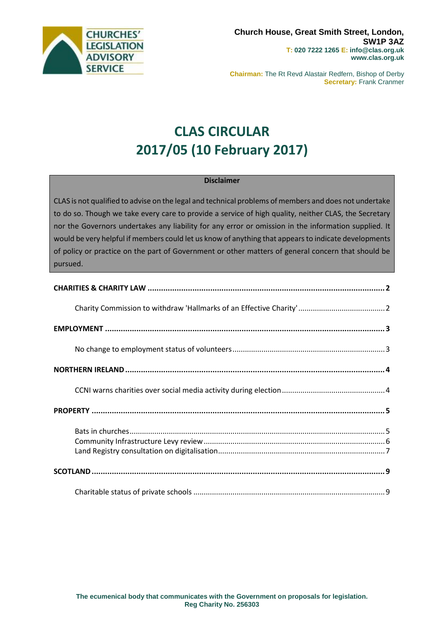

**Chairman:** The Rt Revd Alastair Redfern, Bishop of Derby **Secretary:** Frank Cranmer

# **CLAS CIRCULAR 2017/05 (10 February 2017)**

#### **Disclaimer**

CLAS is not qualified to advise on the legal and technical problems of members and does not undertake to do so. Though we take every care to provide a service of high quality, neither CLAS, the Secretary nor the Governors undertakes any liability for any error or omission in the information supplied. It would be very helpful if members could let us know of anything that appears to indicate developments of policy or practice on the part of Government or other matters of general concern that should be pursued.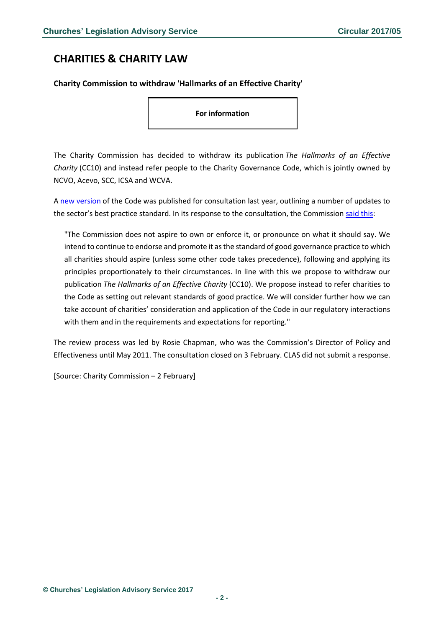### <span id="page-1-0"></span>**CHARITIES & CHARITY LAW**

#### <span id="page-1-1"></span>**Charity Commission to withdraw 'Hallmarks of an Effective Charity'**

**For information**

The Charity Commission has decided to withdraw its publication *The Hallmarks of an Effective Charity* (CC10) and instead refer people to the Charity Governance Code, which is jointly owned by NCVO, Acevo, SCC, ICSA and WCVA.

A [new version](http://www.governancecode.org/wp-content/uploads/2016/11/NC940_good_governance_11.pdf) of the Code was published for consultation last year, outlining a number of updates to the sector's best practice standard. In its response to the consultation, the Commission [said this:](https://www.gov.uk/government/uploads/system/uploads/attachment_data/file/588964/New_code_of_governance_consultation.pdf)

"The Commission does not aspire to own or enforce it, or pronounce on what it should say. We intend to continue to endorse and promote it as the standard of good governance practice to which all charities should aspire (unless some other code takes precedence), following and applying its principles proportionately to their circumstances. In line with this we propose to withdraw our publication *The Hallmarks of an Effective Charity* (CC10). We propose instead to refer charities to the Code as setting out relevant standards of good practice. We will consider further how we can take account of charities' consideration and application of the Code in our regulatory interactions with them and in the requirements and expectations for reporting."

The review process was led by Rosie Chapman, who was the Commission's Director of Policy and Effectiveness until May 2011. The consultation closed on 3 February. CLAS did not submit a response.

[Source: Charity Commission – 2 February]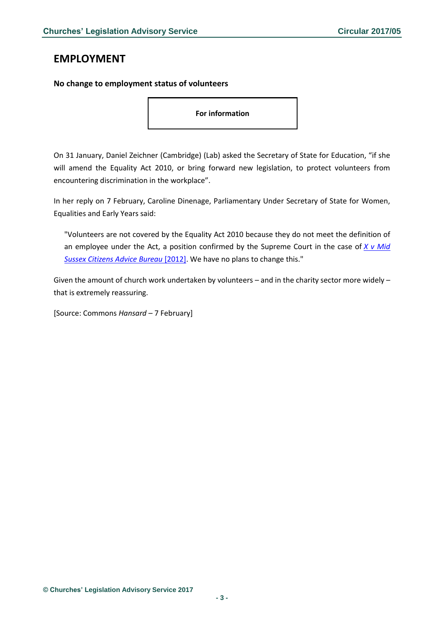### <span id="page-2-0"></span>**EMPLOYMENT**

### <span id="page-2-1"></span>**No change to employment status of volunteers**

**For information**

On 31 January, Daniel Zeichner (Cambridge) (Lab) asked the Secretary of State for Education, "if she will amend the Equality Act 2010, or bring forward new legislation, to protect volunteers from encountering discrimination in the workplace".

In her reply on 7 February, Caroline Dinenage, Parliamentary Under Secretary of State for Women, Equalities and Early Years said:

"Volunteers are not covered by the Equality Act 2010 because they do not meet the definition of an employee under the Act, a position confirmed by the Supreme Court in the case of *[X v Mid](http://www.bailii.org/uk/cases/UKSC/2012/59.html)  [Sussex Citizens Advice Bureau](http://www.bailii.org/uk/cases/UKSC/2012/59.html)* [2012]. We have no plans to change this."

Given the amount of church work undertaken by volunteers – and in the charity sector more widely – that is extremely reassuring.

[Source: Commons *Hansard* – 7 February]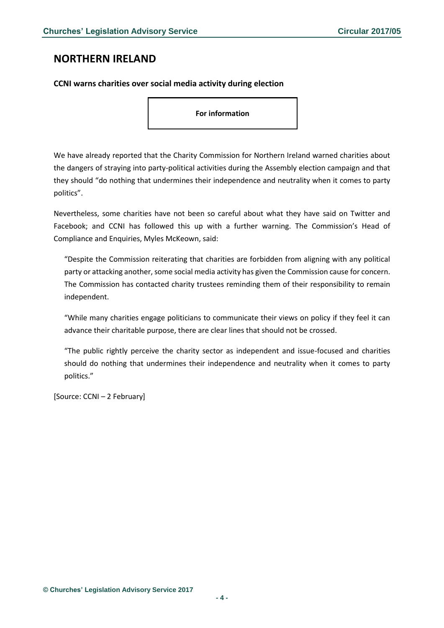### <span id="page-3-0"></span>**NORTHERN IRELAND**

<span id="page-3-1"></span>**CCNI warns charities over social media activity during election**

**For information**

We have already reported that the Charity Commission for Northern Ireland warned charities about the dangers of straying into party-political activities during the Assembly election campaign and that they should "do nothing that undermines their independence and neutrality when it comes to party politics".

Nevertheless, some charities have not been so careful about what they have said on Twitter and Facebook; and CCNI has followed this up with a further warning. The Commission's Head of Compliance and Enquiries, Myles McKeown, said:

"Despite the Commission reiterating that charities are forbidden from aligning with any political party or attacking another, some social media activity has given the Commission cause for concern. The Commission has contacted charity trustees reminding them of their responsibility to remain independent.

"While many charities engage politicians to communicate their views on policy if they feel it can advance their charitable purpose, there are clear lines that should not be crossed.

"The public rightly perceive the charity sector as independent and issue-focused and charities should do nothing that undermines their independence and neutrality when it comes to party politics."

[Source: CCNI – 2 February]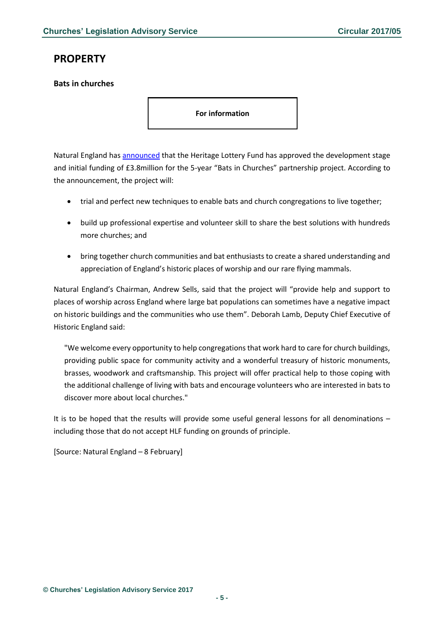## <span id="page-4-0"></span>**PROPERTY**

#### <span id="page-4-1"></span>**Bats in churches**

**For information**

Natural England has [announced](https://www.gov.uk/government/news/bats-and-churches-to-benefit-thanks-to-national-lottery) that the Heritage Lottery Fund has approved the development stage and initial funding of £3.8million for the 5-year "Bats in Churches" partnership project. According to the announcement, the project will:

- trial and perfect new techniques to enable bats and church congregations to live together;
- build up professional expertise and volunteer skill to share the best solutions with hundreds more churches; and
- bring together church communities and bat enthusiasts to create a shared understanding and appreciation of England's historic places of worship and our rare flying mammals.

Natural England's Chairman, Andrew Sells, said that the project will "provide help and support to places of worship across England where large bat populations can sometimes have a negative impact on historic buildings and the communities who use them". Deborah Lamb, Deputy Chief Executive of Historic England said:

"We welcome every opportunity to help congregations that work hard to care for church buildings, providing public space for community activity and a wonderful treasury of historic monuments, brasses, woodwork and craftsmanship. This project will offer practical help to those coping with the additional challenge of living with bats and encourage volunteers who are interested in bats to discover more about local churches."

It is to be hoped that the results will provide some useful general lessons for all denominations – including those that do not accept HLF funding on grounds of principle.

[Source: Natural England – 8 February]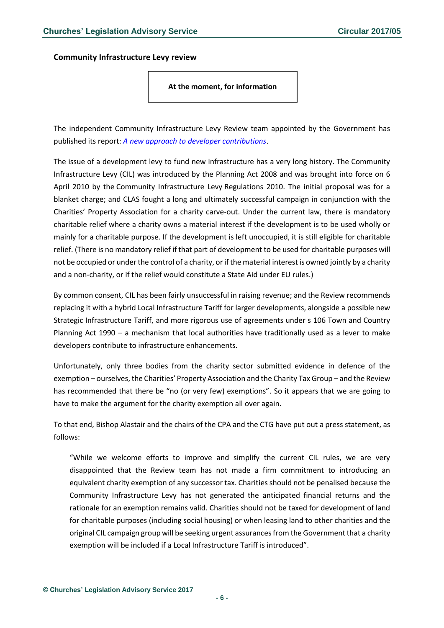<span id="page-5-0"></span>**Community Infrastructure Levy review**

#### **At the moment, for information**

The independent Community Infrastructure Levy Review team appointed by the Government has published its report: *[A new approach to developer contributions](https://www.gov.uk/government/uploads/system/uploads/attachment_data/file/589637/CIL_REPORT_2016.pdf)*.

The issue of a development levy to fund new infrastructure has a very long history. The Community Infrastructure Levy (CIL) was introduced by the Planning Act 2008 and was brought into force on 6 April 2010 by the Community Infrastructure Levy Regulations 2010. The initial proposal was for a blanket charge; and CLAS fought a long and ultimately successful campaign in conjunction with the Charities' Property Association for a charity carve-out. Under the current law, there is mandatory charitable relief where a charity owns a material interest if the development is to be used wholly or mainly for a charitable purpose. If the development is left unoccupied, it is still eligible for charitable relief. (There is no mandatory relief if that part of development to be used for charitable purposes will not be occupied or under the control of a charity, or if the material interest is owned jointly by a charity and a non-charity, or if the relief would constitute a State Aid under EU rules.)

By common consent, CIL has been fairly unsuccessful in raising revenue; and the Review recommends replacing it with a hybrid Local Infrastructure Tariff for larger developments, alongside a possible new Strategic Infrastructure Tariff, and more rigorous use of agreements under s 106 Town and Country Planning Act 1990 – a mechanism that local authorities have traditionally used as a lever to make developers contribute to infrastructure enhancements.

Unfortunately, only three bodies from the charity sector submitted evidence in defence of the exemption – ourselves, the Charities' Property Association and the Charity Tax Group – and the Review has recommended that there be "no (or very few) exemptions". So it appears that we are going to have to make the argument for the charity exemption all over again.

To that end, Bishop Alastair and the chairs of the CPA and the CTG have put out a press statement, as follows:

"While we welcome efforts to improve and simplify the current CIL rules, we are very disappointed that the Review team has not made a firm commitment to introducing an equivalent charity exemption of any successor tax. Charities should not be penalised because the Community Infrastructure Levy has not generated the anticipated financial returns and the rationale for an exemption remains valid. Charities should not be taxed for development of land for charitable purposes (including social housing) or when leasing land to other charities and the original CIL campaign group will be seeking urgent assurances from the Government that a charity exemption will be included if a Local Infrastructure Tariff is introduced".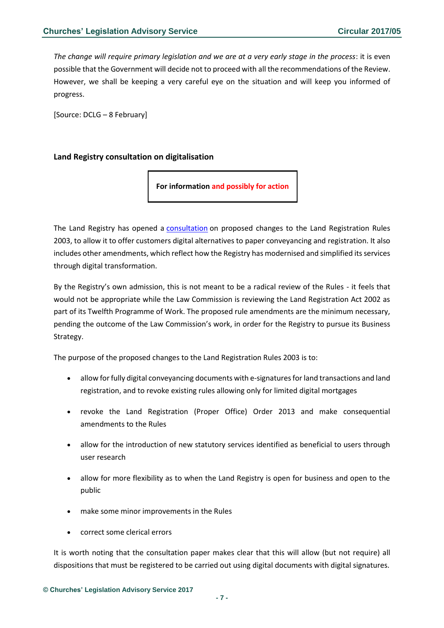*The change will require primary legislation and we are at a very early stage in the process*: it is even possible that the Government will decide not to proceed with all the recommendations of the Review. However, we shall be keeping a very careful eye on the situation and will keep you informed of progress.

[Source: DCLG – 8 February]

### <span id="page-6-0"></span>**Land Registry consultation on digitalisation**

**For information and possibly for action**

The Land Registry has opened a [consultation](http://www.gov.uk/government/consultations/proposals-to-amend-the-land-registration-rules-2003) on proposed changes to the Land Registration Rules 2003, to allow it to offer customers digital alternatives to paper conveyancing and registration. It also includes other amendments, which reflect how the Registry has modernised and simplified its services through digital transformation.

By the Registry's own admission, this is not meant to be a radical review of the Rules - it feels that would not be appropriate while the Law Commission is reviewing the Land Registration Act 2002 as part of its Twelfth Programme of Work. The proposed rule amendments are the minimum necessary, pending the outcome of the Law Commission's work, in order for the Registry to pursue its Business Strategy.

The purpose of the proposed changes to the Land Registration Rules 2003 is to:

- allow for fully digital conveyancing documents with e-signatures for land transactions and land registration, and to revoke existing rules allowing only for limited digital mortgages
- revoke the Land Registration (Proper Office) Order 2013 and make consequential amendments to the Rules
- allow for the introduction of new statutory services identified as beneficial to users through user research
- allow for more flexibility as to when the Land Registry is open for business and open to the public
- make some minor improvements in the Rules
- correct some clerical errors

It is worth noting that the consultation paper makes clear that this will allow (but not require) all dispositions that must be registered to be carried out using digital documents with digital signatures.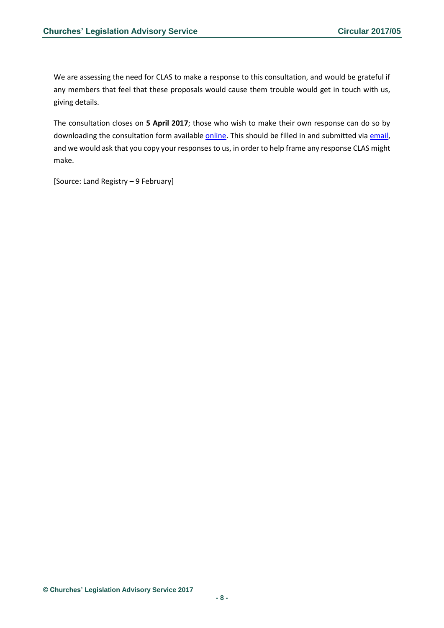We are assessing the need for CLAS to make a response to this consultation, and would be grateful if any members that feel that these proposals would cause them trouble would get in touch with us, giving details.

The consultation closes on **5 April 2017**; those who wish to make their own response can do so by downloading the consultation form available [online.](http://www.gov.uk/government/uploads/system/uploads/attachment_data/file/590722/Consultation_LRR_2003_amendments_response_form_9_2_17.docx) This should be filled in and submitted via [email,](mailto:lrr2016@landregistry.gov.uk) and we would ask that you copy your responses to us, in order to help frame any response CLAS might make.

[Source: Land Registry – 9 February]